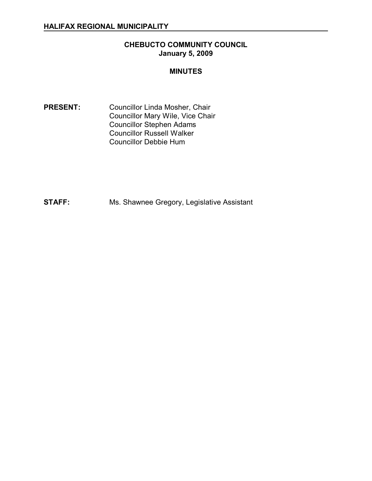# **CHEBUCTO COMMUNITY COUNCIL January 5, 2009**

### **MINUTES**

**PRESENT:** Councillor Linda Mosher, Chair Councillor Mary Wile, Vice Chair Councillor Stephen Adams Councillor Russell Walker Councillor Debbie Hum

**STAFF:** Ms. Shawnee Gregory, Legislative Assistant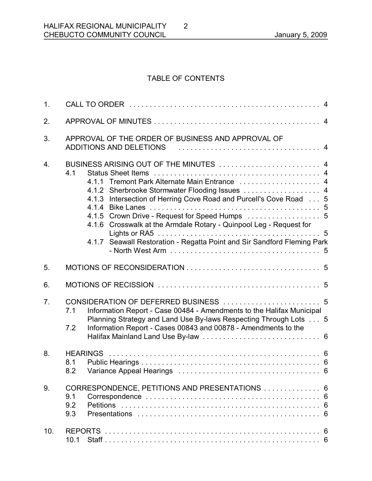# TABLE OF CONTENTS

2

| 1.               |                   |                                                                                                                                                                                                                                                                                                                                                                                                                   |  |
|------------------|-------------------|-------------------------------------------------------------------------------------------------------------------------------------------------------------------------------------------------------------------------------------------------------------------------------------------------------------------------------------------------------------------------------------------------------------------|--|
| 2.               |                   |                                                                                                                                                                                                                                                                                                                                                                                                                   |  |
| 3.               |                   | APPROVAL OF THE ORDER OF BUSINESS AND APPROVAL OF<br>ADDITIONS AND DELETIONS                                                                                                                                                                                                                                                                                                                                      |  |
| $\overline{4}$ . | 4.1               | BUSINESS ARISING OUT OF THE MINUTES  4<br>4.1.1 Tremont Park Alternate Main Entrance  4<br>4.1.2 Sherbrooke Stormwater Flooding Issues  4<br>4.1.3 Intersection of Herring Cove Road and Purcell's Cove Road 5<br>4.1.5 Crown Drive - Request for Speed Humps  5<br>4.1.6 Crosswalk at the Armdale Rotary - Quinpool Leg - Request for<br>4.1.7 Seawall Restoration - Regatta Point and Sir Sandford Fleming Park |  |
| 5.               |                   |                                                                                                                                                                                                                                                                                                                                                                                                                   |  |
| 6.               |                   |                                                                                                                                                                                                                                                                                                                                                                                                                   |  |
| 7.               | 7.1<br>7.2        | Information Report - Case 00484 - Amendments to the Halifax Municipal<br>Planning Strategy and Land Use By-laws Respecting Through Lots 5<br>Information Report - Cases 00843 and 00878 - Amendments to the                                                                                                                                                                                                       |  |
| 8.               | 8.1<br>8.2        |                                                                                                                                                                                                                                                                                                                                                                                                                   |  |
| 9.               | 9.1<br>9.2<br>9.3 | CORRESPONDENCE, PETITIONS AND PRESENTATIONS  6                                                                                                                                                                                                                                                                                                                                                                    |  |
| 10.              | 10.1              |                                                                                                                                                                                                                                                                                                                                                                                                                   |  |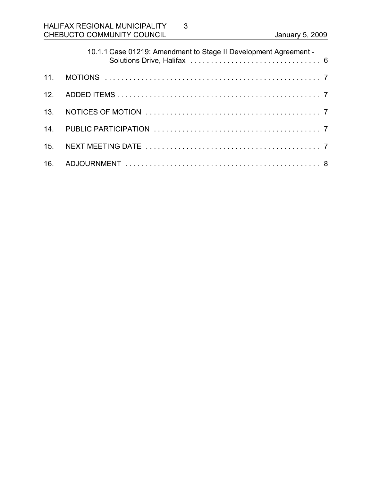| 10.1.1 Case 01219: Amendment to Stage II Development Agreement - |
|------------------------------------------------------------------|
|                                                                  |
|                                                                  |
|                                                                  |
|                                                                  |
|                                                                  |
|                                                                  |

3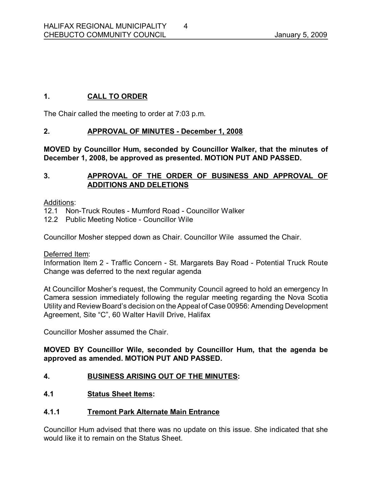# **1. CALL TO ORDER**

The Chair called the meeting to order at 7:03 p.m.

# **2. APPROVAL OF MINUTES December 1, 2008**

**MOVED by Councillor Hum, seconded by Councillor Walker, that the minutes of December 1, 2008, be approved as presented. MOTION PUT AND PASSED.** 

# **3. APPROVAL OF THE ORDER OF BUSINESS AND APPROVAL OF ADDITIONS AND DELETIONS**

### Additions:

- 12.1 Non-Truck Routes Mumford Road Councillor Walker
- 12.2 Public Meeting Notice Councillor Wile

Councillor Mosher stepped down as Chair. Councillor Wile assumed the Chair.

Deferred Item:

Information Item 2 - Traffic Concern - St. Margarets Bay Road - Potential Truck Route Change was deferred to the next regular agenda

At Councillor Mosher's request, the Community Council agreed to hold an emergency In Camera session immediately following the regular meeting regarding the Nova Scotia Utility and Review Board's decision on the Appeal of Case 00956: Amending Development Agreement, Site "C", 60 Walter Havill Drive, Halifax

Councillor Mosher assumed the Chair.

# **MOVED BY Councillor Wile, seconded by Councillor Hum, that the agenda be approved as amended. MOTION PUT AND PASSED.**

# **4. BUSINESS ARISING OUT OF THE MINUTES:**

# **4.1 Status Sheet Items:**

# **4.1.1 Tremont Park Alternate Main Entrance**

Councillor Hum advised that there was no update on this issue. She indicated that she would like it to remain on the Status Sheet.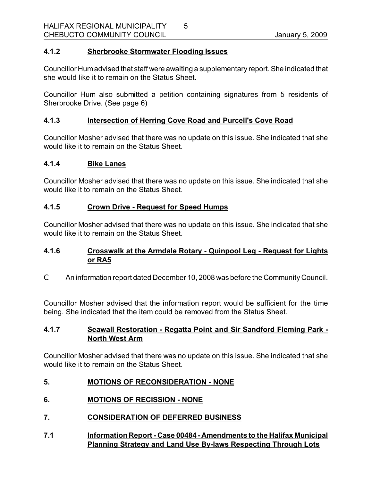### **4.1.2 Sherbrooke Stormwater Flooding Issues**

Councillor Humadvised that staff were awaiting a supplementary report. She indicated that she would like it to remain on the Status Sheet.

5

Councillor Hum also submitted a petition containing signatures from 5 residents of Sherbrooke Drive. (See page 6)

### **4.1.3 Intersection of Herring Cove Road and Purcell's Cove Road**

Councillor Mosher advised that there was no update on this issue. She indicated that she would like it to remain on the Status Sheet.

### **4.1.4 Bike Lanes**

Councillor Mosher advised that there was no update on this issue. She indicated that she would like it to remain on the Status Sheet.

# **4.1.5 Crown Drive Request for Speed Humps**

Councillor Mosher advised that there was no update on this issue. She indicated that she would like it to remain on the Status Sheet.

### **4.1.6 Crosswalk at the Armdale Rotary Quinpool Leg Request for Lights or RA5**

C An information report dated December 10, 2008 was before the Community Council.

Councillor Mosher advised that the information report would be sufficient for the time being. She indicated that the item could be removed from the Status Sheet.

### **4.1.7 Seawall Restoration Regatta Point and Sir Sandford Fleming Park North West Arm**

Councillor Mosher advised that there was no update on this issue. She indicated that she would like it to remain on the Status Sheet.

### **5. MOTIONS OF RECONSIDERATION NONE**

- **6. MOTIONS OF RECISSION NONE**
- **7. CONSIDERATION OF DEFERRED BUSINESS**
- **7.1 Information Report Case 00484 Amendments to the Halifax Municipal Planning Strategy and Land Use By-laws Respecting Through Lots**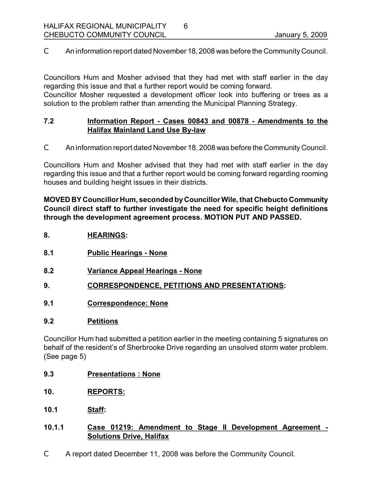C An information report dated November 18, 2008 was before the Community Council.

6

Councillors Hum and Mosher advised that they had met with staff earlier in the day regarding this issue and that a further report would be coming forward.

Councillor Mosher requested a development officer look into buffering or trees as a solution to the problem rather than amending the Municipal Planning Strategy.

### **7.2 Information Report Cases 00843 and 00878 Amendments to the Halifax Mainland Land Use By-law**

C An information report dated November 18, 2008 was before the Community Council.

Councillors Hum and Mosher advised that they had met with staff earlier in the day regarding this issue and that a further report would be coming forward regarding rooming houses and building height issues in their districts.

**MOVED BY Councillor Hum, seconded byCouncillorWile, that Chebucto Community Council direct staff to further investigate the need for specific height definitions through the development agreement process. MOTION PUT AND PASSED.** 

- **8. HEARINGS:**
- **8.1 Public Hearings None**
- **8.2 Variance Appeal Hearings None**
- **9. CORRESPONDENCE, PETITIONS AND PRESENTATIONS:**
- **9.1 Correspondence: None**

### **9.2 Petitions**

Councillor Hum had submitted a petition earlier in the meeting containing 5 signatures on behalf of the resident's of Sherbrooke Drive regarding an unsolved storm water problem. (See page 5)

- **9.3 Presentations : None**
- **10. REPORTS:**
- **10.1 Staff:**
- **10.1.1 Case 01219: Amendment to Stage II Development Agreement Solutions Drive, Halifax**
- C A report dated December 11, 2008 was before the Community Council.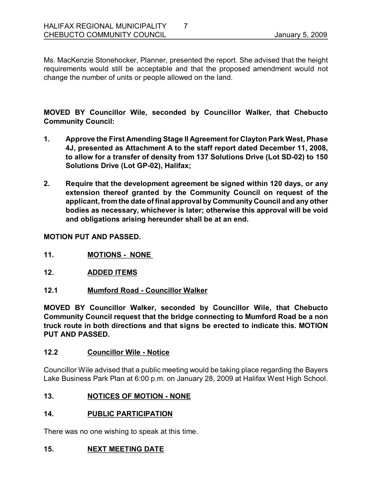Ms. MacKenzie Stonehocker, Planner, presented the report. She advised that the height requirements would still be acceptable and that the proposed amendment would not change the number of units or people allowed on the land.

**MOVED BY Councillor Wile, seconded by Councillor Walker, that Chebucto Community Council:**

- **1. Approve the First Amending Stage II Agreement for Clayton Park West, Phase 4J, presented as Attachment A to the staff report dated December 11, 2008,**  to allow for a transfer of density from 137 Solutions Drive (Lot SD-02) to 150 **Solutions Drive (Lot GP-02), Halifax;**
- **2. Require that the development agreement be signed within 120 days, or any extension thereof granted by the Community Council on request of the applicant, from the date of final approval by Community Council and any other bodies as necessary, whichever is later; otherwise this approval will be void and obligations arising hereunder shall be at an end.**

**MOTION PUT AND PASSED.** 

- **11. MOTIONS NONE**
- **12. ADDED ITEMS**
- **12.1 Mumford Road Councillor Walker**

**MOVED BY Councillor Walker, seconded by Councillor Wile, that Chebucto Community Council request that the bridge connecting to Mumford Road be a non truck route in both directions and that signs be erected to indicate this. MOTION PUT AND PASSED.** 

### **12.2 Councillor Wile Notice**

Councillor Wile advised that a public meeting would be taking place regarding the Bayers Lake Business Park Plan at 6:00 p.m. on January 28, 2009 at Halifax West High School.

### 13. **NOTICES OF MOTION - NONE**

### **14. PUBLIC PARTICIPATION**

There was no one wishing to speak at this time.

### **15. NEXT MEETING DATE**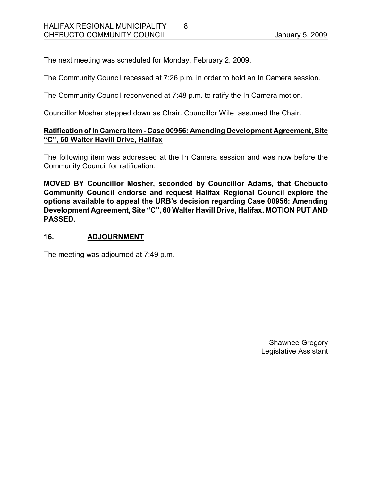The next meeting was scheduled for Monday, February 2, 2009.

The Community Council recessed at 7:26 p.m. in order to hold an In Camera session.

8

The Community Council reconvened at 7:48 p.m. to ratify the In Camera motion.

Councillor Mosher stepped down as Chair. Councillor Wile assumed the Chair.

### **Ratificationof In Camera Item Case 00956: Amending Development Agreement, Site "C", 60 Walter Havill Drive, Halifax**

The following item was addressed at the In Camera session and was now before the Community Council for ratification:

**MOVED BY Councillor Mosher, seconded by Councillor Adams***,* **that Chebucto Community Council endorse and request Halifax Regional Council explore the options available to appeal the URB's decision regarding Case 00956: Amending Development Agreement, Site "C", 60 Walter Havill Drive, Halifax. MOTION PUT AND PASSED.** 

### **16. ADJOURNMENT**

The meeting was adjourned at 7:49 p.m.

Shawnee Gregory Legislative Assistant